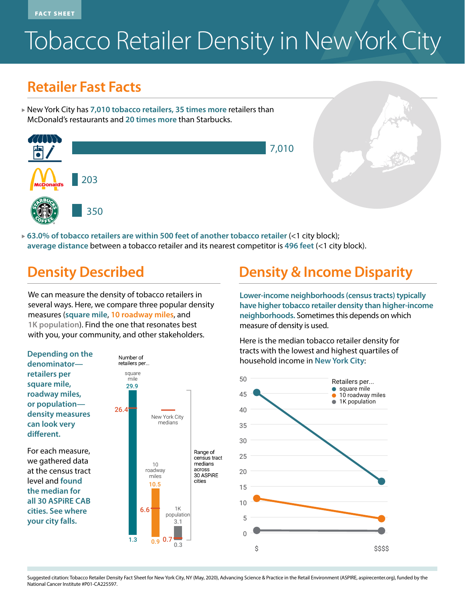FACT SHEET

# Tobacco Retailer Density in New York City

#### **Retailer Fast Facts**

▲ New York City has **7,010 tobacco retailers, 35 times more** retailers than McDonald's restaurants and **20 times more** than Starbucks.



**► 63.0% of tobacco retailers are within 500 feet of another tobacco retailer (<1 city block); average distance** between a tobacco retailer and its nearest competitor is **496 feet** (<1 city block).

We can measure the density of tobacco retailers in several ways. Here, we compare three popular density measures (**square mile**, **10 roadway miles**, and **1K population**). Find the one that resonates best with you, your community, and other stakeholders.



For each measure, we gathered data at the census tract level and **found the median for all 30 ASPiRE CAB cities. See where your city falls.**



## **Density Described Density & Income Disparity**

**have higher tobacco retailer density than higher-income neighborhoods.** Sometimes this depends on which measure of density is used.

Here is the median tobacco retailer density for tracts with the lowest and highest quartiles of household income in **New York City**:



Suggested citation: Tobacco Retailer Density Fact Sheet for New York City, NY (May, 2020), Advancing Science & Practice in the Retail Environment (ASPIRE, aspirecenter.org), funded by the National Cancer Institute #P01-CA225597.